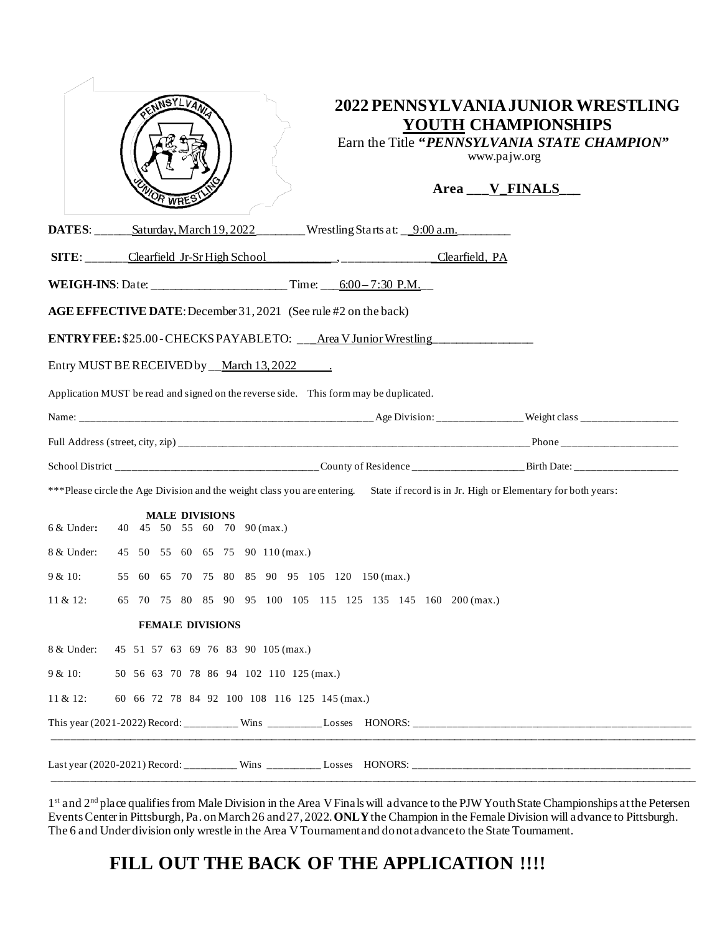|                                                                                                                                       | NSYLVAN                                                               | YOUTH CHAMPIONSHIPS<br>Earn the Title "PENNSYLVANIA STATE CHAMPION"<br>www.pajw.org<br>Area ___V_FINALS_ | 2022 PENNSYLVANIA JUNIOR WRESTLING |
|---------------------------------------------------------------------------------------------------------------------------------------|-----------------------------------------------------------------------|----------------------------------------------------------------------------------------------------------|------------------------------------|
|                                                                                                                                       | <b>DATES:</b> Saturday, March 19, 2022 Wrestling Starts at: 9:00 a.m. |                                                                                                          |                                    |
|                                                                                                                                       | SITE: Clearfield Jr-Sr High School (Clearfield, PA                    |                                                                                                          |                                    |
| <b>WEIGH-INS</b> : Date: __________________________Time: $6:00-7:30$ P.M.                                                             |                                                                       |                                                                                                          |                                    |
| AGE EFFECTIVE DATE: December 31, 2021 (See rule #2 on the back)                                                                       |                                                                       |                                                                                                          |                                    |
| <b>ENTRY FEE:</b> \$25.00-CHECKS PAYABLETO: ____Area V Junior Wrestling _______________                                               |                                                                       |                                                                                                          |                                    |
| Entry MUST BE RECEIVED by __March 13, 2022 ______.                                                                                    |                                                                       |                                                                                                          |                                    |
| Application MUST be read and signed on the reverse side. This form may be duplicated.                                                 |                                                                       |                                                                                                          |                                    |
|                                                                                                                                       |                                                                       |                                                                                                          |                                    |
|                                                                                                                                       |                                                                       |                                                                                                          |                                    |
|                                                                                                                                       |                                                                       |                                                                                                          |                                    |
| ***Please circle the Age Division and the weight class you are entering. State if record is in Jr. High or Elementary for both years: |                                                                       |                                                                                                          |                                    |
| $6 &$ Under:                                                                                                                          | <b>MALE DIVISIONS</b><br>40 45 50 55 60 70 90 (max.)                  |                                                                                                          |                                    |
| 8 & Under:                                                                                                                            | 45 50 55 60 65 75 90 110 (max.)                                       |                                                                                                          |                                    |
| $9 & 10$ :                                                                                                                            | 55 60 65 70 75 80 85 90 95 105 120 150 (max.)                         |                                                                                                          |                                    |
| 11 & 12:                                                                                                                              | 65 70 75 80 85 90 95 100 105 115 125 135 145 160 200 (max.)           |                                                                                                          |                                    |
|                                                                                                                                       | <b>FEMALE DIVISIONS</b>                                               |                                                                                                          |                                    |
| 8 & Under:                                                                                                                            | 45 51 57 63 69 76 83 90 105 (max.)                                    |                                                                                                          |                                    |
| $9 & 10$ :                                                                                                                            | 50 56 63 70 78 86 94 102 110 125 (max.)                               |                                                                                                          |                                    |
| $11 & 12$ :<br>60 66 72 78 84 92 100 108 116 125 145 (max.)                                                                           |                                                                       |                                                                                                          |                                    |
|                                                                                                                                       |                                                                       |                                                                                                          |                                    |
|                                                                                                                                       |                                                                       |                                                                                                          |                                    |

1<sup>st</sup> and 2<sup>nd</sup> place qualifies from Male Division in the Area V Finals will advance to the PJW Youth State Championships at the Petersen Events Center in Pittsburgh, Pa. on March 26 and 27, 2022. **ONLY** the Champion in the Female Division will advance to Pittsburgh. The 6 and Under division only wrestle in the Area V Tournament and do not advance to the State Tournament.

## FILL OUT THE BACK OF THE APPLICATION !!!!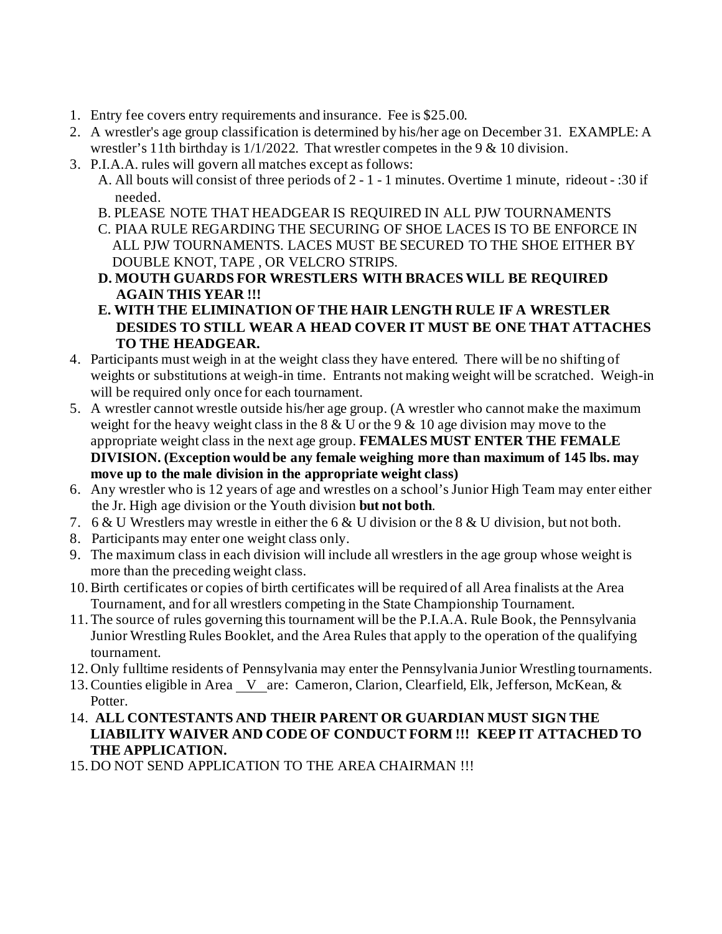- 1. Entry fee covers entry requirements and insurance. Fee is \$25.00.
- 2. A wrestler's age group classification is determined by his/her age on December 31. EXAMPLE: A wrestler's 11th birthday is  $1/1/2022$ . That wrestler competes in the 9 & 10 division.
- 3. P.I.A.A. rules will govern all matches except as follows:
	- A. All bouts will consist of three periods of 2 1 1 minutes. Overtime 1 minute, rideout :30 if needed.
	- B. PLEASE NOTE THAT HEADGEAR IS REQUIRED IN ALL PJW TOURNAMENTS
	- C. PIAA RULE REGARDING THE SECURING OF SHOE LACES IS TO BE ENFORCE IN ALL PJW TOURNAMENTS. LACES MUST BE SECURED TO THE SHOE EITHER BY DOUBLE KNOT, TAPE , OR VELCRO STRIPS.
	- **D. MOUTH GUARDS FOR WRESTLERS WITH BRACES WILL BE REQUIRED AGAIN THIS YEAR !!!**
	- **E. WITH THE ELIMINATION OF THE HAIR LENGTH RULE IF A WRESTLER DESIDES TO STILL WEAR A HEAD COVER IT MUST BE ONE THAT ATTACHES TO THE HEADGEAR.**
- 4. Participants must weigh in at the weight class they have entered. There will be no shifting of weights or substitutions at weigh-in time. Entrants not making weight will be scratched. Weigh-in will be required only once for each tournament.
- 5. A wrestler cannot wrestle outside his/her age group. (A wrestler who cannot make the maximum weight for the heavy weight class in the  $8 & U$  or the  $9 & 10$  age division may move to the appropriate weight class in the next age group. **FEMALES MUST ENTER THE FEMALE DIVISION. (Exception would be any female weighing more than maximum of 145 lbs. may move up to the male division in the appropriate weight class)**
- 6. Any wrestler who is 12 years of age and wrestles on a school's Junior High Team may enter either the Jr. High age division or the Youth division **but not both**.
- 7. 6 & U Wrestlers may wrestle in either the 6 & U division or the 8 & U division, but not both.
- 8. Participants may enter one weight class only.
- 9. The maximum class in each division will include all wrestlers in the age group whose weight is more than the preceding weight class.
- 10.Birth certificates or copies of birth certificates will be required of all Area finalists at the Area Tournament, and for all wrestlers competing in the State Championship Tournament.
- 11.The source of rules governing this tournament will be the P.I.A.A. Rule Book, the Pennsylvania Junior Wrestling Rules Booklet, and the Area Rules that apply to the operation of the qualifying tournament.
- 12. Only fulltime residents of Pennsylvania may enter the Pennsylvania Junior Wrestling tournaments.
- 13. Counties eligible in Area V are: Cameron, Clarion, Clearfield, Elk, Jefferson, McKean, & Potter.
- 14. **ALL CONTESTANTS AND THEIR PARENT OR GUARDIAN MUST SIGN THE LIABILITY WAIVER AND CODE OF CONDUCT FORM !!! KEEP IT ATTACHED TO THE APPLICATION.**
- 15. DO NOT SEND APPLICATION TO THE AREA CHAIRMAN !!!